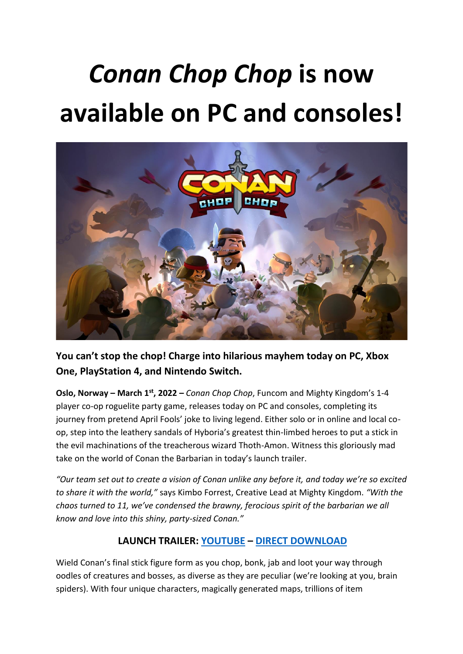# *Conan Chop Chop* **is now available on PC and consoles!**



**You can't stop the chop! Charge into hilarious mayhem today on PC, Xbox One, PlayStation 4, and Nintendo Switch.**

**Oslo, Norway – March 1st, 2022 –** *Conan Chop Chop*, Funcom and Mighty Kingdom's 1-4 player co-op roguelite party game, releases today on PC and consoles, completing its journey from pretend April Fools' joke to living legend. Either solo or in online and local coop, step into the leathery sandals of Hyboria's greatest thin-limbed heroes to put a stick in the evil machinations of the treacherous wizard Thoth-Amon. Witness this gloriously mad take on the world of Conan the Barbarian in today's launch trailer.

*"Our team set out to create a vision of Conan unlike any before it, and today we're so excited to share it with the world,"* says Kimbo Forrest, Creative Lead at Mighty Kingdom. *"With the chaos turned to 11, we've condensed the brawny, ferocious spirit of the barbarian we all know and love into this shiny, party-sized Conan."*

## **LAUNCH TRAILER: [YOUTUBE](https://youtu.be/wRghKxSi5h0) – [DIRECT DOWNLOAD](https://www.dropbox.com/sh/gpl6ymhtk7zushu/AAA4fSDAR4yp8sqcoKXvEnjDa?dl=0)**

Wield Conan's final stick figure form as you chop, bonk, jab and loot your way through oodles of creatures and bosses, as diverse as they are peculiar (we're looking at you, brain spiders). With four unique characters, magically generated maps, trillions of item